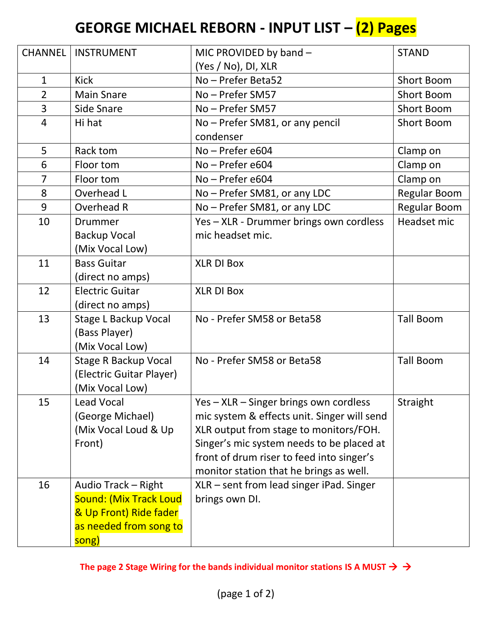## **GEORGE MICHAEL REBORN - INPUT LIST – (2) Pages**

| <b>CHANNEL</b> | <b>INSTRUMENT</b>             | MIC PROVIDED by band -                      | <b>STAND</b>      |
|----------------|-------------------------------|---------------------------------------------|-------------------|
|                |                               | (Yes / No), DI, XLR                         |                   |
| $\mathbf{1}$   | <b>Kick</b>                   | No - Prefer Beta52                          | <b>Short Boom</b> |
| $\overline{2}$ | <b>Main Snare</b>             | No - Prefer SM57                            | <b>Short Boom</b> |
| 3              | <b>Side Snare</b>             | No - Prefer SM57                            | <b>Short Boom</b> |
| 4              | Hi hat                        | No - Prefer SM81, or any pencil             | <b>Short Boom</b> |
|                |                               | condenser                                   |                   |
| 5              | Rack tom                      | No - Prefer e604                            | Clamp on          |
| 6              | Floor tom                     | No - Prefer e604                            | Clamp on          |
| $\overline{7}$ | Floor tom                     | No - Prefer e604                            | Clamp on          |
| 8              | Overhead L                    | No - Prefer SM81, or any LDC                | Regular Boom      |
| 9              | Overhead R                    | No - Prefer SM81, or any LDC                | Regular Boom      |
| 10             | <b>Drummer</b>                | Yes - XLR - Drummer brings own cordless     | Headset mic       |
|                | <b>Backup Vocal</b>           | mic headset mic.                            |                   |
|                | (Mix Vocal Low)               |                                             |                   |
| 11             | <b>Bass Guitar</b>            | <b>XLR DI Box</b>                           |                   |
|                | (direct no amps)              |                                             |                   |
| 12             | <b>Electric Guitar</b>        | <b>XLR DI Box</b>                           |                   |
|                | (direct no amps)              |                                             |                   |
| 13             | <b>Stage L Backup Vocal</b>   | No - Prefer SM58 or Beta58                  | <b>Tall Boom</b>  |
|                | (Bass Player)                 |                                             |                   |
|                | (Mix Vocal Low)               |                                             |                   |
| 14             | <b>Stage R Backup Vocal</b>   | No - Prefer SM58 or Beta58                  | <b>Tall Boom</b>  |
|                | (Electric Guitar Player)      |                                             |                   |
|                | (Mix Vocal Low)               |                                             |                   |
| 15             | Lead Vocal                    | Yes - XLR - Singer brings own cordless      | Straight          |
|                | (George Michael)              | mic system & effects unit. Singer will send |                   |
|                | (Mix Vocal Loud & Up          | XLR output from stage to monitors/FOH.      |                   |
|                | Front)                        | Singer's mic system needs to be placed at   |                   |
|                |                               | front of drum riser to feed into singer's   |                   |
|                |                               | monitor station that he brings as well.     |                   |
| 16             | Audio Track - Right           | XLR - sent from lead singer iPad. Singer    |                   |
|                | <b>Sound: (Mix Track Loud</b> | brings own DI.                              |                   |
|                | & Up Front) Ride fader        |                                             |                   |
|                | as needed from song to        |                                             |                   |
|                | song)                         |                                             |                   |